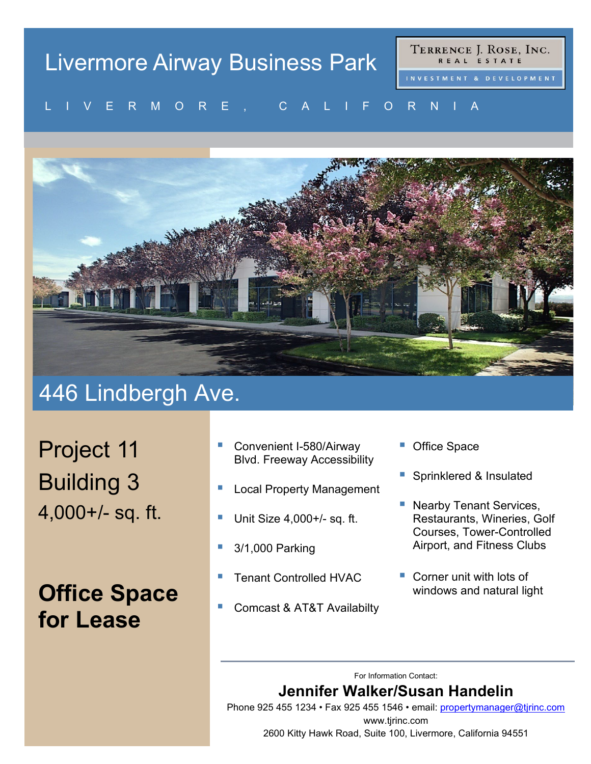# Livermore Airway Business Park

TERRENCE J. ROSE, INC. REAL ESTATE

#### VERMORE, UALIFORNIA LIVERMORE, CALIFORNIA



## 446 Lindbergh Ave.

Project 11 Building 3 4,000+/- sq. ft.

## **Office Space for Lease**

- Convenient I-580/Airway Blvd. Freeway Accessibility
- Local Property Management
- Unit Size 4,000+/- sq. ft.
- 3/1,000 Parking
- Tenant Controlled HVAC
- Comcast & AT&T Availabilty
- Office Space
- Sprinklered & Insulated
- **Nearby Tenant Services,** Restaurants, Wineries, Golf Courses, Tower-Controlled Airport, and Fitness Clubs
- Corner unit with lots of windows and natural light

For Information Contact:

#### **Jennifer Walker/Susan Handelin**

Phone 925 455 1234 • Fax 925 455 1546 • email: [propertymanager@tjrinc.com](mailto:propertymanager@tjrinc.com) www.tjrinc.com 2600 Kitty Hawk Road, Suite 100, Livermore, California 94551